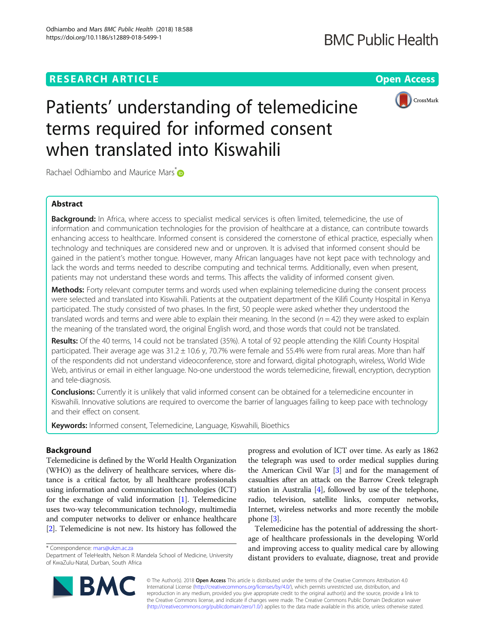## **RESEARCH ARTICLE Example 2014 12:30 The Contract of Contract ACCESS**



# Patients' understanding of telemedicine terms required for informed consent when translated into Kiswahili

Rachael Odhiambo and Maurice Mars<sup>[\\*](http://orcid.org/0000-0001-8784-780X)</sup>

## Abstract

Background: In Africa, where access to specialist medical services is often limited, telemedicine, the use of information and communication technologies for the provision of healthcare at a distance, can contribute towards enhancing access to healthcare. Informed consent is considered the cornerstone of ethical practice, especially when technology and techniques are considered new and or unproven. It is advised that informed consent should be gained in the patient's mother tongue. However, many African languages have not kept pace with technology and lack the words and terms needed to describe computing and technical terms. Additionally, even when present, patients may not understand these words and terms. This affects the validity of informed consent given.

Methods: Forty relevant computer terms and words used when explaining telemedicine during the consent process were selected and translated into Kiswahili. Patients at the outpatient department of the Kilifi County Hospital in Kenya participated. The study consisted of two phases. In the first, 50 people were asked whether they understood the translated words and terms and were able to explain their meaning. In the second  $(n = 42)$  they were asked to explain the meaning of the translated word, the original English word, and those words that could not be translated.

Results: Of the 40 terms, 14 could not be translated (35%). A total of 92 people attending the Kilifi County Hospital participated. Their average age was 31.2 ± 10.6 y, 70.7% were female and 55.4% were from rural areas. More than half of the respondents did not understand videoconference, store and forward, digital photograph, wireless, World Wide Web, antivirus or email in either language. No-one understood the words telemedicine, firewall, encryption, decryption and tele-diagnosis.

Conclusions: Currently it is unlikely that valid informed consent can be obtained for a telemedicine encounter in Kiswahili. Innovative solutions are required to overcome the barrier of languages failing to keep pace with technology and their effect on consent.

Keywords: Informed consent, Telemedicine, Language, Kiswahili, Bioethics

## Background

Telemedicine is defined by the World Health Organization (WHO) as the delivery of healthcare services, where distance is a critical factor, by all healthcare professionals using information and communication technologies (ICT) for the exchange of valid information  $[1]$ . Telemedicine uses two-way telecommunication technology, multimedia and computer networks to deliver or enhance healthcare [[2\]](#page-5-0). Telemedicine is not new. Its history has followed the

\* Correspondence: [mars@ukzn.ac.za](mailto:mars@ukzn.ac.za)

progress and evolution of ICT over time. As early as 1862 the telegraph was used to order medical supplies during the American Civil War [\[3\]](#page-5-0) and for the management of casualties after an attack on the Barrow Creek telegraph station in Australia [\[4\]](#page-5-0), followed by use of the telephone, radio, television, satellite links, computer networks, Internet, wireless networks and more recently the mobile phone [\[3](#page-5-0)].

Telemedicine has the potential of addressing the shortage of healthcare professionals in the developing World and improving access to quality medical care by allowing distant providers to evaluate, diagnose, treat and provide



© The Author(s). 2018 Open Access This article is distributed under the terms of the Creative Commons Attribution 4.0 International License [\(http://creativecommons.org/licenses/by/4.0/](http://creativecommons.org/licenses/by/4.0/)), which permits unrestricted use, distribution, and reproduction in any medium, provided you give appropriate credit to the original author(s) and the source, provide a link to the Creative Commons license, and indicate if changes were made. The Creative Commons Public Domain Dedication waiver [\(http://creativecommons.org/publicdomain/zero/1.0/](http://creativecommons.org/publicdomain/zero/1.0/)) applies to the data made available in this article, unless otherwise stated.

Department of TeleHealth, Nelson R Mandela School of Medicine, University of KwaZulu-Natal, Durban, South Africa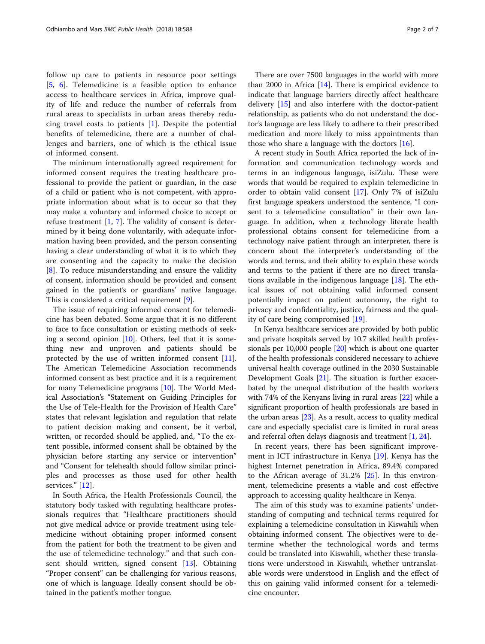follow up care to patients in resource poor settings [[5,](#page-5-0) [6\]](#page-5-0). Telemedicine is a feasible option to enhance access to healthcare services in Africa, improve quality of life and reduce the number of referrals from rural areas to specialists in urban areas thereby reducing travel costs to patients [\[1](#page-5-0)]. Despite the potential benefits of telemedicine, there are a number of challenges and barriers, one of which is the ethical issue of informed consent.

The minimum internationally agreed requirement for informed consent requires the treating healthcare professional to provide the patient or guardian, in the case of a child or patient who is not competent, with appropriate information about what is to occur so that they may make a voluntary and informed choice to accept or refuse treatment [[1,](#page-5-0) [7](#page-5-0)]. The validity of consent is determined by it being done voluntarily, with adequate information having been provided, and the person consenting having a clear understanding of what it is to which they are consenting and the capacity to make the decision [[8\]](#page-5-0). To reduce misunderstanding and ensure the validity of consent, information should be provided and consent gained in the patient's or guardians' native language. This is considered a critical requirement [[9\]](#page-5-0).

The issue of requiring informed consent for telemedicine has been debated. Some argue that it is no different to face to face consultation or existing methods of seeking a second opinion  $[10]$ . Others, feel that it is something new and unproven and patients should be protected by the use of written informed consent [\[11](#page-5-0)]. The American Telemedicine Association recommends informed consent as best practice and it is a requirement for many Telemedicine programs [[10\]](#page-5-0). The World Medical Association's "Statement on Guiding Principles for the Use of Tele-Health for the Provision of Health Care" states that relevant legislation and regulation that relate to patient decision making and consent, be it verbal, written, or recorded should be applied, and, "To the extent possible, informed consent shall be obtained by the physician before starting any service or intervention" and "Consent for telehealth should follow similar principles and processes as those used for other health services." [\[12](#page-5-0)].

In South Africa, the Health Professionals Council, the statutory body tasked with regulating healthcare professionals requires that "Healthcare practitioners should not give medical advice or provide treatment using telemedicine without obtaining proper informed consent from the patient for both the treatment to be given and the use of telemedicine technology." and that such consent should written, signed consent [[13](#page-5-0)]. Obtaining "Proper consent" can be challenging for various reasons, one of which is language. Ideally consent should be obtained in the patient's mother tongue.

There are over 7500 languages in the world with more than 2000 in Africa  $[14]$ . There is empirical evidence to indicate that language barriers directly affect healthcare delivery [\[15\]](#page-6-0) and also interfere with the doctor-patient relationship, as patients who do not understand the doctor's language are less likely to adhere to their prescribed medication and more likely to miss appointments than those who share a language with the doctors [[16](#page-6-0)].

A recent study in South Africa reported the lack of information and communication technology words and terms in an indigenous language, isiZulu. These were words that would be required to explain telemedicine in order to obtain valid consent [\[17](#page-6-0)]. Only 7% of isiZulu first language speakers understood the sentence, "I consent to a telemedicine consultation" in their own language. In addition, when a technology literate health professional obtains consent for telemedicine from a technology naive patient through an interpreter, there is concern about the interpreter's understanding of the words and terms, and their ability to explain these words and terms to the patient if there are no direct translations available in the indigenous language  $[18]$ . The ethical issues of not obtaining valid informed consent potentially impact on patient autonomy, the right to privacy and confidentiality, justice, fairness and the quality of care being compromised [[19](#page-6-0)].

In Kenya healthcare services are provided by both public and private hospitals served by 10.7 skilled health professionals per 10,000 people [\[20\]](#page-6-0) which is about one quarter of the health professionals considered necessary to achieve universal health coverage outlined in the 2030 Sustainable Development Goals [[21](#page-6-0)]. The situation is further exacerbated by the unequal distribution of the health workers with 74% of the Kenyans living in rural areas [[22](#page-6-0)] while a significant proportion of health professionals are based in the urban areas [\[23\]](#page-6-0). As a result, access to quality medical care and especially specialist care is limited in rural areas and referral often delays diagnosis and treatment [\[1](#page-5-0), [24\]](#page-6-0).

In recent years, there has been significant improvement in ICT infrastructure in Kenya [\[19\]](#page-6-0). Kenya has the highest Internet penetration in Africa, 89.4% compared to the African average of  $31.2\%$   $[25]$  $[25]$  $[25]$ . In this environment, telemedicine presents a viable and cost effective approach to accessing quality healthcare in Kenya.

The aim of this study was to examine patients' understanding of computing and technical terms required for explaining a telemedicine consultation in Kiswahili when obtaining informed consent. The objectives were to determine whether the technological words and terms could be translated into Kiswahili, whether these translations were understood in Kiswahili, whether untranslatable words were understood in English and the effect of this on gaining valid informed consent for a telemedicine encounter.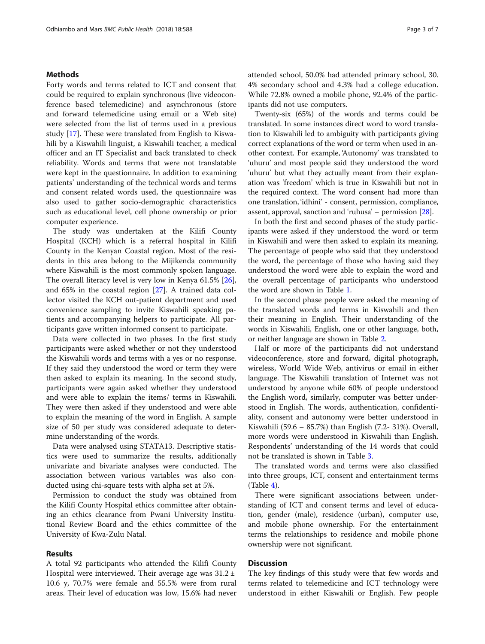### Methods

Forty words and terms related to ICT and consent that could be required to explain synchronous (live videoconference based telemedicine) and asynchronous (store and forward telemedicine using email or a Web site) were selected from the list of terms used in a previous study [[17\]](#page-6-0). These were translated from English to Kiswahili by a Kiswahili linguist, a Kiswahili teacher, a medical officer and an IT Specialist and back translated to check reliability. Words and terms that were not translatable were kept in the questionnaire. In addition to examining patients' understanding of the technical words and terms and consent related words used, the questionnaire was also used to gather socio-demographic characteristics such as educational level, cell phone ownership or prior computer experience.

The study was undertaken at the Kilifi County Hospital (KCH) which is a referral hospital in Kilifi County in the Kenyan Coastal region. Most of the residents in this area belong to the Mijikenda community where Kiswahili is the most commonly spoken language. The overall literacy level is very low in Kenya 61.5% [\[26](#page-6-0)], and 65% in the coastal region [[27](#page-6-0)]. A trained data collector visited the KCH out-patient department and used convenience sampling to invite Kiswahili speaking patients and accompanying helpers to participate. All participants gave written informed consent to participate.

Data were collected in two phases. In the first study participants were asked whether or not they understood the Kiswahili words and terms with a yes or no response. If they said they understood the word or term they were then asked to explain its meaning. In the second study, participants were again asked whether they understood and were able to explain the items/ terms in Kiswahili. They were then asked if they understood and were able to explain the meaning of the word in English. A sample size of 50 per study was considered adequate to determine understanding of the words.

Data were analysed using STATA13. Descriptive statistics were used to summarize the results, additionally univariate and bivariate analyses were conducted. The association between various variables was also conducted using chi-square tests with alpha set at 5%.

Permission to conduct the study was obtained from the Kilifi County Hospital ethics committee after obtaining an ethics clearance from Pwani University Institutional Review Board and the ethics committee of the University of Kwa-Zulu Natal.

## Results

A total 92 participants who attended the Kilifi County Hospital were interviewed. Their average age was  $31.2 \pm$ 10.6 y, 70.7% were female and 55.5% were from rural areas. Their level of education was low, 15.6% had never attended school, 50.0% had attended primary school, 30. 4% secondary school and 4.3% had a college education. While 72.8% owned a mobile phone, 92.4% of the participants did not use computers.

Twenty-six (65%) of the words and terms could be translated. In some instances direct word to word translation to Kiswahili led to ambiguity with participants giving correct explanations of the word or term when used in another context. For example, 'Autonomy' was translated to 'uhuru' and most people said they understood the word 'uhuru' but what they actually meant from their explanation was 'freedom' which is true in Kiswahili but not in the required context. The word consent had more than one translation, 'idhini' - consent, permission, compliance, assent, approval, sanction and 'ruhusa' – permission [\[28\]](#page-6-0).

In both the first and second phases of the study participants were asked if they understood the word or term in Kiswahili and were then asked to explain its meaning. The percentage of people who said that they understood the word, the percentage of those who having said they understood the word were able to explain the word and the overall percentage of participants who understood the word are shown in Table [1.](#page-3-0)

In the second phase people were asked the meaning of the translated words and terms in Kiswahili and then their meaning in English. Their understanding of the words in Kiswahili, English, one or other language, both, or neither language are shown in Table [2.](#page-4-0)

Half or more of the participants did not understand videoconference, store and forward, digital photograph, wireless, World Wide Web, antivirus or email in either language. The Kiswahili translation of Internet was not understood by anyone while 60% of people understood the English word, similarly, computer was better understood in English. The words, authentication, confidentiality, consent and autonomy were better understood in Kiswahili (59.6 – 85.7%) than English (7.2- 31%). Overall, more words were understood in Kiswahili than English. Respondents' understanding of the 14 words that could not be translated is shown in Table [3](#page-4-0).

The translated words and terms were also classified into three groups, ICT, consent and entertainment terms  $(Table 4)$  $(Table 4)$ .

There were significant associations between understanding of ICT and consent terms and level of education, gender (male), residence (urban), computer use, and mobile phone ownership. For the entertainment terms the relationships to residence and mobile phone ownership were not significant.

#### **Discussion**

The key findings of this study were that few words and terms related to telemedicine and ICT technology were understood in either Kiswahili or English. Few people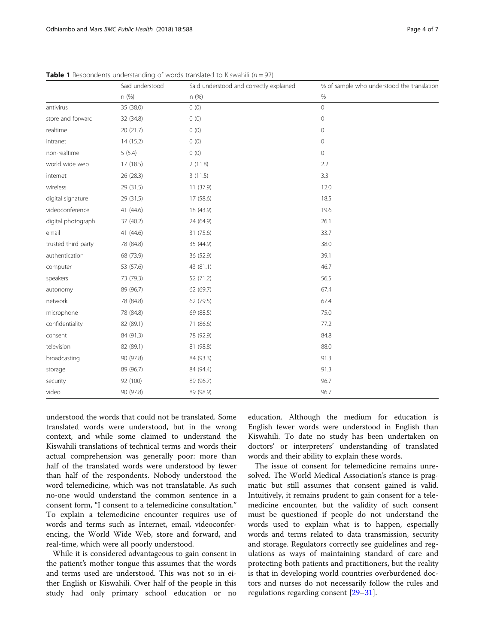|                     | Said understood | Said understood and correctly explained | % of sample who understood the translation |  |
|---------------------|-----------------|-----------------------------------------|--------------------------------------------|--|
|                     | n (%)           | n (%)                                   | $\%$                                       |  |
| antivirus           | 35 (38.0)       | 0(0)                                    | $\mathbf 0$                                |  |
| store and forward   | 32 (34.8)       | 0(0)                                    | $\mathbf 0$                                |  |
| realtime            | 20(21.7)        | 0(0)                                    | 0                                          |  |
| intranet            | 14 (15.2)       | 0(0)                                    | 0                                          |  |
| non-realtime        | 5(5.4)          | 0(0)                                    | 0                                          |  |
| world wide web      | 17(18.5)        | 2(11.8)                                 | 2.2                                        |  |
| internet            | 26 (28.3)       | 3(11.5)                                 | 3.3                                        |  |
| wireless            | 29 (31.5)       | 11 (37.9)                               | 12.0                                       |  |
| digital signature   | 29 (31.5)       | 17 (58.6)                               | 18.5                                       |  |
| videoconference     | 41 (44.6)       | 18 (43.9)                               | 19.6                                       |  |
| digital photograph  | 37 (40.2)       | 24 (64.9)                               | 26.1                                       |  |
| email               | 41 (44.6)       | 31 (75.6)                               | 33.7                                       |  |
| trusted third party | 78 (84.8)       | 35 (44.9)                               | 38.0                                       |  |
| authentication      | 68 (73.9)       | 36 (52.9)                               | 39.1                                       |  |
| computer            | 53 (57.6)       | 43 (81.1)                               | 46.7                                       |  |
| speakers            | 73 (79.3)       | 52 (71.2)                               | 56.5                                       |  |
| autonomy            | 89 (96.7)       | 62 (69.7)                               | 67.4                                       |  |
| network             | 78 (84.8)       | 62 (79.5)                               | 67.4                                       |  |
| microphone          | 78 (84.8)       | 69 (88.5)                               | 75.0                                       |  |
| confidentiality     | 82 (89.1)       | 71 (86.6)                               | 77.2                                       |  |
| consent             | 84 (91.3)       | 78 (92.9)                               | 84.8                                       |  |
| television          | 82 (89.1)       | 81 (98.8)                               | 88.0                                       |  |
| broadcasting        | 90 (97.8)       | 84 (93.3)                               | 91.3                                       |  |
| storage             | 89 (96.7)       | 84 (94.4)                               | 91.3                                       |  |
| security            | 92 (100)        | 89 (96.7)                               | 96.7                                       |  |
| video               | 90 (97.8)       | 89 (98.9)                               | 96.7                                       |  |

<span id="page-3-0"></span>**Table 1** Respondents understanding of words translated to Kiswahili ( $n = 92$ )

understood the words that could not be translated. Some translated words were understood, but in the wrong context, and while some claimed to understand the Kiswahili translations of technical terms and words their actual comprehension was generally poor: more than half of the translated words were understood by fewer than half of the respondents. Nobody understood the word telemedicine, which was not translatable. As such no-one would understand the common sentence in a consent form, "I consent to a telemedicine consultation." To explain a telemedicine encounter requires use of words and terms such as Internet, email, videoconferencing, the World Wide Web, store and forward, and real-time, which were all poorly understood.

While it is considered advantageous to gain consent in the patient's mother tongue this assumes that the words and terms used are understood. This was not so in either English or Kiswahili. Over half of the people in this study had only primary school education or no

education. Although the medium for education is English fewer words were understood in English than Kiswahili. To date no study has been undertaken on doctors' or interpreters' understanding of translated words and their ability to explain these words.

The issue of consent for telemedicine remains unresolved. The World Medical Association's stance is pragmatic but still assumes that consent gained is valid. Intuitively, it remains prudent to gain consent for a telemedicine encounter, but the validity of such consent must be questioned if people do not understand the words used to explain what is to happen, especially words and terms related to data transmission, security and storage. Regulators correctly see guidelines and regulations as ways of maintaining standard of care and protecting both patients and practitioners, but the reality is that in developing world countries overburdened doctors and nurses do not necessarily follow the rules and regulations regarding consent [\[29](#page-6-0)–[31\]](#page-6-0).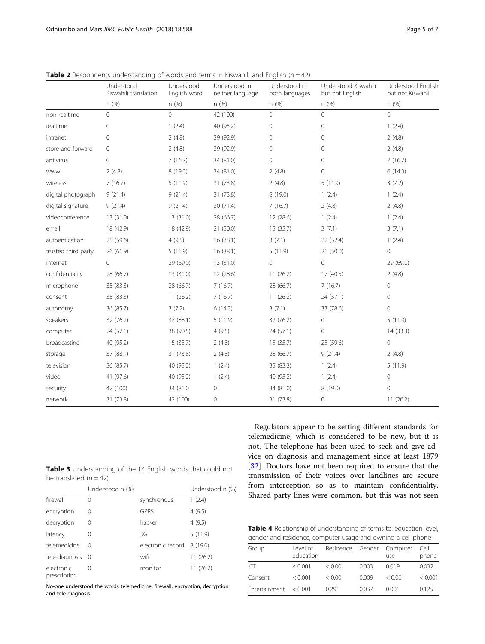|                     | Understood<br>Kiswahili translation | Understood<br>English word | Understood in<br>neither language | Understood in<br>both languages | Understood Kiswahili<br>but not English | Understood English<br>but not Kiswahili |
|---------------------|-------------------------------------|----------------------------|-----------------------------------|---------------------------------|-----------------------------------------|-----------------------------------------|
|                     | n(%)                                | n(%)                       | n (%)                             | n (%)                           | n(%)                                    | n (%)                                   |
| non-realtime        | 0                                   | $\mathbf 0$                | 42 (100)                          | $\circ$                         | $\overline{0}$                          | $\overline{O}$                          |
| realtime            | $\mathbf 0$                         | 1(2.4)                     | 40 (95.2)                         | $\mathbf{0}$                    | $\mathbf{0}$                            | 1(2.4)                                  |
| intranet            | 0                                   | 2(4.8)                     | 39 (92.9)                         | $\Omega$                        | $\Omega$                                | 2(4.8)                                  |
| store and forward   | $\circ$                             | 2(4.8)                     | 39 (92.9)                         | $\mathbf{0}$                    | 0                                       | 2(4.8)                                  |
| antivirus           | 0                                   | 7(16.7)                    | 34 (81.0)                         | $\mathbf{0}$                    | 0                                       | 7(16.7)                                 |
| <b>WWW</b>          | 2(4.8)                              | 8 (19.0)                   | 34 (81.0)                         | 2(4.8)                          | $\mathbf 0$                             | 6(14.3)                                 |
| wireless            | 7(16.7)                             | 5(11.9)                    | 31 (73.8)                         | 2(4.8)                          | 5(11.9)                                 | 3(7.2)                                  |
| digital photograph  | 9(21.4)                             | 9(21.4)                    | 31 (73.8)                         | 8 (19.0)                        | 1(2.4)                                  | 1(2.4)                                  |
| digital signature   | 9(21.4)                             | 9(21.4)                    | 30 (71.4)                         | 7(16.7)                         | 2(4.8)                                  | 2(4.8)                                  |
| videoconference     | 13 (31.0)                           | 13 (31.0)                  | 28 (66.7)                         | 12 (28.6)                       | 1(2.4)                                  | 1(2.4)                                  |
| email               | 18 (42.9)                           | 18 (42.9)                  | 21 (50.0)                         | 15(35.7)                        | 3(7.1)                                  | 3(7.1)                                  |
| authentication      | 25 (59.6)                           | 4(9.5)                     | 16(38.1)                          | 3(7.1)                          | 22 (52.4)                               | 1(2.4)                                  |
| trusted third party | 26 (61.9)                           | 5(11.9)                    | 16(38.1)                          | 5(11.9)                         | 21 (50.0)                               | $\overline{0}$                          |
| internet            | 0                                   | 29 (69.0)                  | 13(31.0)                          | $\circ$                         | $\mathbf 0$                             | 29 (69.0)                               |
| confidentiality     | 28 (66.7)                           | 13 (31.0)                  | 12 (28.6)                         | 11(26.2)                        | 17 (40.5)                               | 2(4.8)                                  |
| microphone          | 35 (83.3)                           | 28 (66.7)                  | 7(16.7)                           | 28 (66.7)                       | 7(16.7)                                 | $\mathbf{0}$                            |
| consent             | 35 (83.3)                           | 11(26.2)                   | 7(16.7)                           | 11(26.2)                        | 24 (57.1)                               | $\overline{0}$                          |
| autonomy            | 36 (85.7)                           | 3(7.2)                     | 6(14.3)                           | 3(7.1)                          | 33 (78.6)                               | $\circ$                                 |
| speakers            | 32 (76.2)                           | 37 (88.1)                  | 5(11.9)                           | 32 (76.2)                       | $\overline{0}$                          | 5(11.9)                                 |
| computer            | 24 (57.1)                           | 38 (90.5)                  | 4(9.5)                            | 24 (57.1)                       | $\mathbf 0$                             | 14 (33.3)                               |
| broadcasting        | 40 (95.2)                           | 15(35.7)                   | 2(4.8)                            | 15(35.7)                        | 25 (59.6)                               | $\mathbf 0$                             |
| storage             | 37 (88.1)                           | 31 (73.8)                  | 2(4.8)                            | 28 (66.7)                       | 9(21.4)                                 | 2(4.8)                                  |
| television          | 36 (85.7)                           | 40 (95.2)                  | 1(2.4)                            | 35 (83.3)                       | 1(2.4)                                  | 5(11.9)                                 |
| video               | 41 (97.6)                           | 40 (95.2)                  | 1(2.4)                            | 40 (95.2)                       | 1(2.4)                                  | 0                                       |
| security            | 42 (100)                            | 34 (81.0                   | 0                                 | 34 (81.0)                       | 8 (19.0)                                | $\circ$                                 |
| network             | 31 (73.8)                           | 42 (100)                   | $\mathbf 0$                       | 31 (73.8)                       | 0                                       | 11(26.2)                                |

<span id="page-4-0"></span>**Table 2** Respondents understanding of words and terms in Kiswahili and English ( $n = 42$ )

Table 3 Understanding of the 14 English words that could not be translated  $(n = 42)$ 

|                            | Understood n (%) |                   | Understood n (%) |
|----------------------------|------------------|-------------------|------------------|
| firewall                   | $\left( \right)$ | synchronous       | 1(2.4)           |
| encryption                 | 0                | <b>GPRS</b>       | 4(9.5)           |
| decryption                 | 0                | hacker            | 4(9.5)           |
| latency                    | 0                | 3G                | 5(11.9)          |
| telemedicine               | $\Omega$         | electronic record | 8(19.0)          |
| tele-diagnosis 0           |                  | wifi              | 11 (26.2)        |
| electronic<br>prescription | $\Omega$         | monitor           | 11 (26.2)        |
|                            |                  |                   |                  |

No-one understood the words telemedicine, firewall, encryption, decryption and tele-diagnosis

Regulators appear to be setting different standards for telemedicine, which is considered to be new, but it is not. The telephone has been used to seek and give advice on diagnosis and management since at least 1879 [[32\]](#page-6-0). Doctors have not been required to ensure that the transmission of their voices over landlines are secure from interception so as to maintain confidentiality. Shared party lines were common, but this was not seen

Table 4 Relationship of understanding of terms to: education level, gender and residence, computer usage and owning a cell phone

| Level of<br>education |         |       | use     | Cell<br>phone             |
|-----------------------|---------|-------|---------|---------------------------|
| < 0.001               | < 0.001 | 0.003 | 0.019   | 0.032                     |
| < 0.001               | < 0.001 | 0.009 | < 0.001 | < 0.001                   |
| < 0.001               | 0.291   | 0.037 | 0.001   | 0.125                     |
|                       |         |       |         | Residence Gender Computer |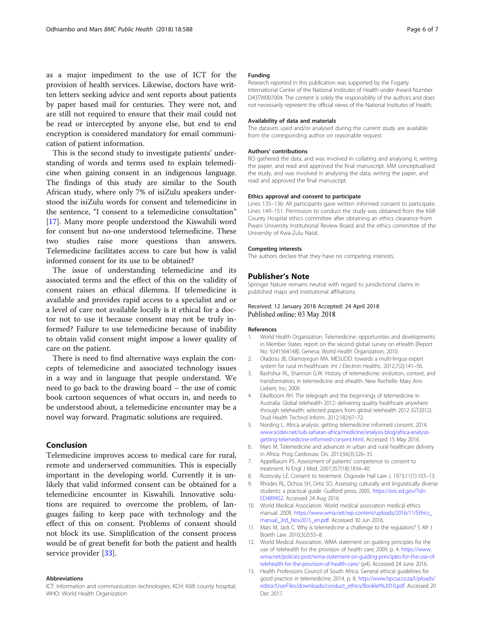<span id="page-5-0"></span>as a major impediment to the use of ICT for the provision of health services. Likewise, doctors have written letters seeking advice and sent reports about patients by paper based mail for centuries. They were not, and are still not required to ensure that their mail could not be read or intercepted by anyone else, but end to end encryption is considered mandatory for email communication of patient information.

This is the second study to investigate patients' understanding of words and terms used to explain telemedicine when gaining consent in an indigenous language. The findings of this study are similar to the South African study, where only 7% of isiZulu speakers understood the isiZulu words for consent and telemedicine in the sentence, "I consent to a telemedicine consultation" [[17\]](#page-6-0). Many more people understood the Kiswahili word for consent but no-one understood telemedicine. These two studies raise more questions than answers. Telemedicine facilitates access to care but how is valid informed consent for its use to be obtained?

The issue of understanding telemedicine and its associated terms and the effect of this on the validity of consent raises an ethical dilemma. If telemedicine is available and provides rapid access to a specialist and or a level of care not available locally is it ethical for a doctor not to use it because consent may not be truly informed? Failure to use telemedicine because of inability to obtain valid consent might impose a lower quality of care on the patient.

There is need to find alternative ways explain the concepts of telemedicine and associated technology issues in a way and in language that people understand. We need to go back to the drawing board – the use of comic book cartoon sequences of what occurs in, and needs to be understood about, a telemedicine encounter may be a novel way forward. Pragmatic solutions are required.

## Conclusion

Telemedicine improves access to medical care for rural, remote and underserved communities. This is especially important in the developing world. Currently it is unlikely that valid informed consent can be obtained for a telemedicine encounter in Kiswahili. Innovative solutions are required to overcome the problem, of languages failing to keep pace with technology and the effect of this on consent. Problems of consent should not block its use. Simplification of the consent process would be of great benefit for both the patient and health service provider [\[33\]](#page-6-0).

#### Abbreviations

ICT: Information and communication technologies; KCH: Kilifi county hospital; WHO: World Health Organization

#### Funding

Research reported in this publication was supported by the Fogarty International Center of the National Institutes of Health under Award Number D43TW007004. The content is solely the responsibility of the authors and does not necessarily represent the official views of the National Institutes of Health.

#### Availability of data and materials

The datasets used and/or analysed during the current study are available from the corresponding author on reasonable request.

#### Authors' contributions

RO gathered the data, and was involved in collating and analysing it, writing the paper, and read and approved the final manuscript. MM conceptualised the study, and was involved in analysing the data, writing the paper, and read and approved the final manuscript.

#### Ethics approval and consent to participate

Lines 135–136: All participants gave written informed consent to participate. Lines 149–151: Permission to conduct the study was obtained from the Kilifi County Hospital ethics committee after obtaining an ethics clearance from Pwani University Institutional Review Board and the ethics committee of the University of Kwa-Zulu Natal.

#### Competing interests

The authors declare that they have no competing interests.

#### Publisher's Note

Springer Nature remains neutral with regard to jurisdictional claims in published maps and institutional affiliations.

#### Received: 12 January 2018 Accepted: 24 April 2018 Published online: 03 May 2018

#### References

- 1. World Health Organization. Telemedicine: opportunities and developments in Member States: report on the second global survey on eHealth [Report No: 9241564148]. Geneva: World Health Organization; 2010.
- 2. Oladosu JB, Olamoyegun MA. MESUDD: towards a multi-lingua expert system for rural m-healthcare. Int J Electron Healthc. 2012;7(2):141–56.
- 3. Bashshur RL, Shannon G.W. History of telemedicine: evolution, context, and transformation, in telemedicine and ehealth. New Rochelle: Mary Ann Liebert, Inc; 2009.
- 4. Eikelboom RH. The telegraph and the beginnings of telemedicine in Australia. Global telehealth 2012: delivering quality healthcare anywhere through telehealth: selected papers from global telehealth 2012 (GT2012). Stud Health Technol Inform. 2012;182:67–72.
- 5. Nording L. Africa analysis: getting telemedicine informed consent. 2014. [www.scidev.net/sub-saharan-africa/medicine/analysis-blog/africa-analysis](http://www.scidev.net/sub-saharan-africa/medicine/analysis-blog/africa-analysis-getting-telemedicine-informed-consent.html)[getting-telemedicine-informed-consent.html.](http://www.scidev.net/sub-saharan-africa/medicine/analysis-blog/africa-analysis-getting-telemedicine-informed-consent.html) Accessed 15 May 2016.
- 6. Mars M. Telemedicine and advances in urban and rural healthcare delivery in Africa. Prog Cardiovasc Dis. 2013;56(3):326–35.
- 7. Appelbaum PS. Assessment of patients' competence to consent to treatment. N Engl J Med. 2007;357(18):1834–40.
- 8. Rozovsky LE. Consent to treatment. Osgoode Hall Law J. 1973;11(1):103–13.
- 9. Rhodes RL, Ochoa SH, Ortiz SO. Assessing culturally and linguistically diverse students: a practical guide: Guilford press; 2005. [https://eric.ed.gov/?id=](https://eric.ed.gov/?id=ED489452) [ED489452](https://eric.ed.gov/?id=ED489452). Accessed 24 Aug 2016.
- 10. World Medical Association. World medical association medical ethics manual. 2009. [https://www.wma.net/wp-content/uploads/2016/11/Ethics\\_](https://www.wma.net/wp-content/uploads/2016/11/Ethics_manual_3rd_Nov2015_en.pdf) [manual\\_3rd\\_Nov2015\\_en.pdf](https://www.wma.net/wp-content/uploads/2016/11/Ethics_manual_3rd_Nov2015_en.pdf). Accessed 30 Jun 2016.
- 11. Mars M, Jack C. Why is telemedicine a challenge to the regulators? S Afr J Bioeth Law. 2010;3(2):55–8.
- 12. World Medical Association. WMA statement on guiding principles for the use of telehealth for the provision of health care; 2009. p. 4. [https://www.](https://www.wma.net/policies-post/wma-statement-on-guiding-principles-for-the-use-of-telehealth-for-the-provision-of-health-care/) [wma.net/policies-post/wma-statement-on-guiding-principles-for-the-use-of](https://www.wma.net/policies-post/wma-statement-on-guiding-principles-for-the-use-of-telehealth-for-the-provision-of-health-care/)[telehealth-for-the-provision-of-health-care/](https://www.wma.net/policies-post/wma-statement-on-guiding-principles-for-the-use-of-telehealth-for-the-provision-of-health-care/) (p4). Accessed 24 June 2016.
- 13. Health Professions Council of South Africa. General ethical guidelines for good practice in telemedicine; 2014. p. 8. [http://www.hpcsa.co.za/Uploads/](http://www.hpcsa.co.za/Uploads/editor/UserFiles/downloads/conduct_ethics/Booklet%2010.pdf) [editor/UserFiles/downloads/conduct\\_ethics/Booklet%2010.pdf.](http://www.hpcsa.co.za/Uploads/editor/UserFiles/downloads/conduct_ethics/Booklet%2010.pdf) Accessed 20 Dec 2017.